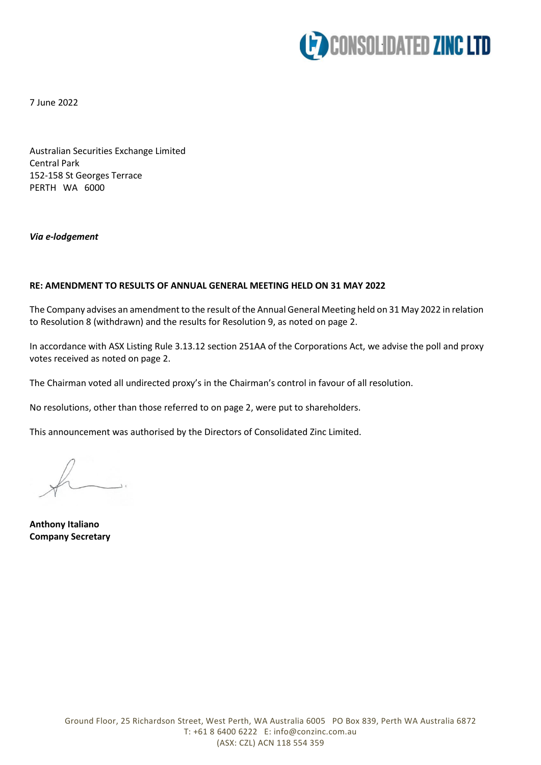

7 June 2022

Australian Securities Exchange Limited Central Park 152-158 St Georges Terrace PERTH WA 6000

## *Via e-lodgement*

## **RE: AMENDMENT TO RESULTS OF ANNUAL GENERAL MEETING HELD ON 31 MAY 2022**

The Company advises an amendment to the result of the Annual General Meeting held on 31 May 2022 in relation to Resolution 8 (withdrawn) and the results for Resolution 9, as noted on page 2.

In accordance with ASX Listing Rule 3.13.12 section 251AA of the Corporations Act, we advise the poll and proxy votes received as noted on page 2.

The Chairman voted all undirected proxy's in the Chairman's control in favour of all resolution.

No resolutions, other than those referred to on page 2, were put to shareholders.

This announcement was authorised by the Directors of Consolidated Zinc Limited.

**Anthony Italiano Company Secretary**